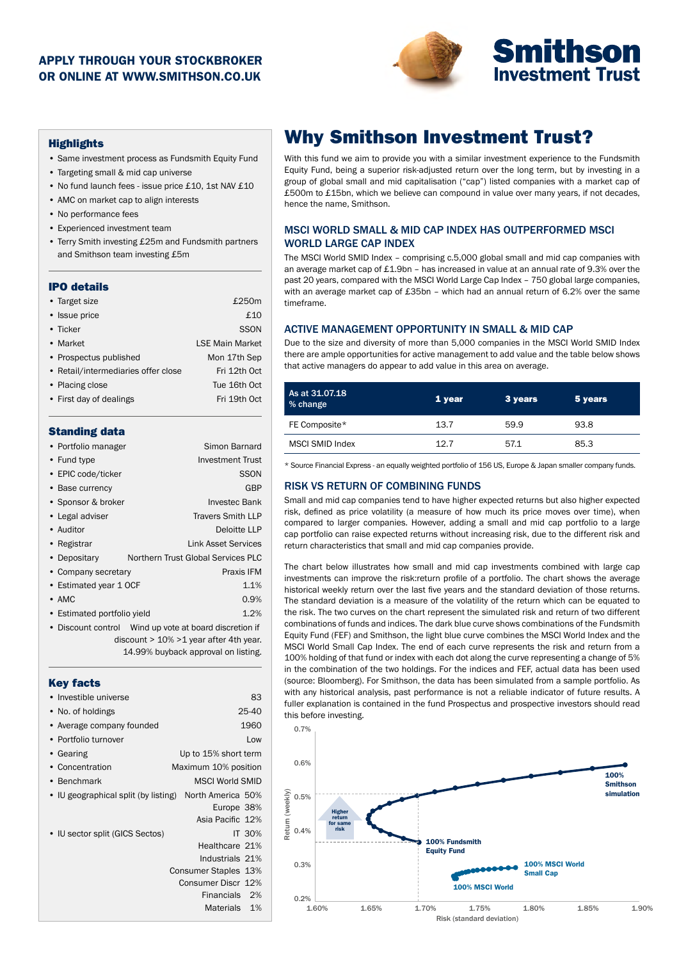### APPLY THROUGH YOUR STOCKBROKER OR ONLINE AT WWW.SMITHSON.CO.UK



#### **Highlights**

- Same investment process as Fundsmith Equity Fund
- Targeting small & mid cap universe
- No fund launch fees issue price £10, 1st NAV £10
- AMC on market cap to align interests
- No performance fees
- Experienced investment team
- Terry Smith investing £25m and Fundsmith partners and Smithson team investing £5m

#### IPO details

| • Target size                       | £250m                  |
|-------------------------------------|------------------------|
| • Issue price                       | £10                    |
| • Ticker                            | <b>SSON</b>            |
| • Market                            | <b>LSE Main Market</b> |
| • Prospectus published              | Mon 17th Sep           |
| • Retail/intermediaries offer close | Fri 12th Oct           |
| • Placing close                     | Tue 16th Oct           |
| • First day of dealings             | Fri 19th Oct           |
|                                     |                        |

#### Standing data

| • Portfolio manager         | Simon Barnard                                        |
|-----------------------------|------------------------------------------------------|
| • Fund type                 | <b>Investment Trust</b>                              |
| • EPIC code/ticker          | <b>SSON</b>                                          |
| • Base currency             | GBP                                                  |
| • Sponsor & broker          | Investec Bank                                        |
| • Legal adviser             | <b>Travers Smith LLP</b>                             |
| • Auditor                   | Deloitte LLP                                         |
| • Registrar                 | Link Asset Services                                  |
| • Depositary                | Northern Trust Global Services PLC                   |
| • Company secretary         | Praxis IFM                                           |
| • Estimated year 1 OCF      | 1.1%                                                 |
| $\bullet$ AMC               | 0.9%                                                 |
| • Estimated portfolio yield | 1.2%                                                 |
|                             | Discount control Wind up vote at board discretion if |
|                             | $dissavint \sim 4.00/24$ year ofter 4th year         |

 discount > 10% >1 year after 4th year. 14.99% buyback approval on listing.

| 83                                                        |
|-----------------------------------------------------------|
| 25-40                                                     |
| 1960                                                      |
| Low                                                       |
| Up to 15% short term                                      |
| Maximum 10% position                                      |
| <b>MSCI World SMID</b>                                    |
| • IU geographical split (by listing)<br>North America 50% |
| Europe 38%                                                |
| Asia Pacific 12%                                          |
| IT 30%                                                    |
| Healthcare 21%                                            |
| Industrials 21%                                           |
| Consumer Staples 13%                                      |
| Consumer Discr 12%                                        |
| Financials 2%                                             |
| Materials<br>1%                                           |
|                                                           |

# Why Smithson Investment Trust?

With this fund we aim to provide you with a similar investment experience to the Fundsmith Equity Fund, being a superior risk-adjusted return over the long term, but by investing in a group of global small and mid capitalisation ("cap") listed companies with a market cap of £500m to £15bn, which we believe can compound in value over many years, if not decades, hence the name, Smithson.

#### MSCI WORLD SMALL & MID CAP INDEX HAS OUTPERFORMED MSCI WORLD LARGE CAP INDEX

The MSCI World SMID Index – comprising c.5,000 global small and mid cap companies with an average market cap of £1.9bn – has increased in value at an annual rate of 9.3% over the past 20 years, compared with the MSCI World Large Cap Index – 750 global large companies, with an average market cap of £35bn – which had an annual return of 6.2% over the same timeframe.

#### ACTIVE MANAGEMENT OPPORTUNITY IN SMALL & MID CAP

Due to the size and diversity of more than 5,000 companies in the MSCI World SMID Index there are ample opportunities for active management to add value and the table below shows that active managers do appear to add value in this area on average.

| As at 31.07.18<br>% change | 1 year | 3 years | 5 years |
|----------------------------|--------|---------|---------|
| FE Composite*              | 13.7   | 59.9    | 93.8    |
| MSCI SMID Index            | 12.7   | 57.1    | 85.3    |

\* Source Financial Express - an equally weighted portfolio of 156 US, Europe & Japan smaller company funds.

#### RISK VS RETURN OF COMBINING FUNDS

Small and mid cap companies tend to have higher expected returns but also higher expected risk, defined as price volatility (a measure of how much its price moves over time), when compared to larger companies. However, adding a small and mid cap portfolio to a large cap portfolio can raise expected returns without increasing risk, due to the different risk and return characteristics that small and mid cap companies provide.

The chart below illustrates how small and mid cap investments combined with large cap investments can improve the risk:return profile of a portfolio. The chart shows the average historical weekly return over the last five years and the standard deviation of those returns. The standard deviation is a measure of the volatility of the return which can be equated to the risk. The two curves on the chart represent the simulated risk and return of two different combinations of funds and indices. The dark blue curve shows combinations of the Fundsmith Equity Fund (FEF) and Smithson, the light blue curve combines the MSCI World Index and the MSCI World Small Cap Index. The end of each curve represents the risk and return from a 100% holding of that fund or index with each dot along the curve representing a change of 5% in the combination of the two holdings. For the indices and FEF, actual data has been used (source: Bloomberg). For Smithson, the data has been simulated from a sample portfolio. As with any historical analysis, past performance is not a reliable indicator of future results. A fuller explanation is contained in the fund Prospectus and prospective investors should read this before investing.